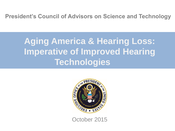**President's Council of Advisors on Science and Technology**

# **Aging America & Hearing Loss: Imperative of Improved Hearing Technologies**



October 2015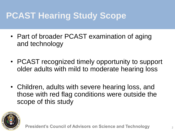# **PCAST Hearing Study Scope**

- Part of broader PCAST examination of aging and technology
- PCAST recognized timely opportunity to support older adults with mild to moderate hearing loss
- Children, adults with severe hearing loss, and those with red flag conditions were outside the scope of this study

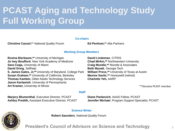# **PCAST Aging and Technology Study Full Working Group**

**Co-chairs**

**Christine Cassel,\***\* National Quality Forum **Ed Penhoet,\***\* Alta Partners

#### **Working Group Members**

**Rosina Bierbaum,\*\*** University of Michigan **Jo Ivey Boufford**, New York Academy of Medicine **Sara Czaja,** University of Miami **David Dring**, Selfhelp **S. James Gates, Jr,\*\*** University of Maryland, College Park **Susan Graham,\*\*** University of California, Berkeley **Thomas Kamber,** Older Adults Technology Services **Jason Karlawish**, University of Pennsylvania **Art Kramer,** University of Illinois

#### **David Lindeman**, CITRIS **Chad Mirkin,\*\*** Northwestern University **Craig Mundie,\*\*** Mundie & Associates **Beth Mynatt**, Georgia Tech **William Press,\*\*** University of Texas at Austin **Maxine Savitz**,**\*\*** Honeywell (retired) **Charlotte Yeh,** AARP

\*\*Denotes PCAST member

**Marjory Blumenthal**, Executive Director, PCAST **Ashley Predith,** Assistant Executive Director, PCAST **Diane Pankevich**, AAAS Fellow, PCAST **Jennifer Michael**, Program Support Specialist, PCAST

#### **Science Writer**

**Staff**



**Robert Saunders**, National Quality Forum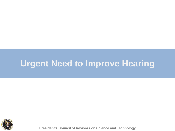### **Urgent Need to Improve Hearing**

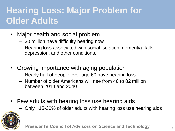# **Hearing Loss: Major Problem for Older Adults**

- Major health and social problem
	- 30 million have difficulty hearing now
	- Hearing loss associated with social isolation, dementia, falls, depression, and other conditions.
- Growing importance with aging population
	- Nearly half of people over age 60 have hearing loss
	- Number of older Americans will rise from 46 to 82 million between 2014 and 2040
- Few adults with hearing loss use hearing aids
	- Only ~15-30% of older adults with hearing loss use hearing aids

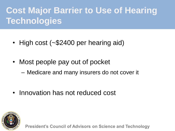# **Cost Major Barrier to Use of Hearing Technologies**

- High cost (~\$2400 per hearing aid)
- Most people pay out of pocket
	- Medicare and many insurers do not cover it
- Innovation has not reduced cost

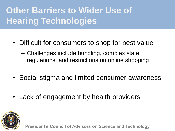# **Other Barriers to Wider Use of Hearing Technologies**

- Difficult for consumers to shop for best value
	- Challenges include bundling, complex state regulations, and restrictions on online shopping
- Social stigma and limited consumer awareness
- Lack of engagement by health providers

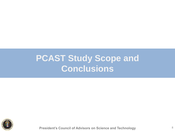### **PCAST Study Scope and Conclusions**

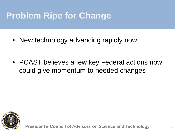# **Problem Ripe for Change**

• New technology advancing rapidly now

• PCAST believes a few key Federal actions now could give momentum to needed changes

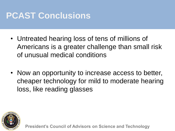# **PCAST Conclusions**

- Untreated hearing loss of tens of millions of Americans is a greater challenge than small risk of unusual medical conditions
- Now an opportunity to increase access to better, cheaper technology for mild to moderate hearing loss, like reading glasses

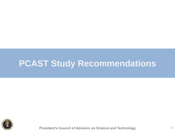### **PCAST Study Recommendations**

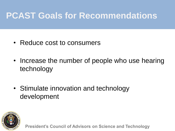## **PCAST Goals for Recommendations**

- Reduce cost to consumers
- Increase the number of people who use hearing technology
- Stimulate innovation and technology development

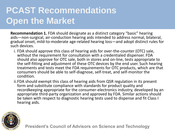# **PCAST Recommendations Open the Market**

**Recommendation 1.** FDA should designate as a distinct category "basic" hearing aids—non-surgical, air-conduction hearing aids intended to address normal, bilateral, gradual onset, mild-to-moderate age-related hearing loss—and adopt distinct rules for such devices.

- i. FDA should approve this class of hearing aids for over-the-counter (OTC) sale, without the requirement for consultation with a credentialed dispenser. FDA should also approve for OTC sale, both in stores and on-line, tests appropriate to the self-fitting and adjustment of these OTC devices by the end user. Such hearing treatments and tests meet the FDA requirements for OTC products, which are that consumers should be able to self-diagnose, self-treat, and self-monitor the condition.
- ii.FDA should exempt this class of hearing aids from QSR regulation in its present form and substitute compliance with standards for product quality and recordkeeping appropriate for the consumer-electronics industry, developed by an appropriate third-party organization and approved by FDA. Similar actions should be taken with respect to diagnostic hearing tests used to dispense and fit Class I hearing aids.

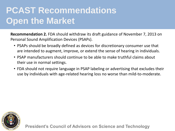# **PCAST Recommendations Open the Market**

**Recommendation 2.** FDA should withdraw its draft guidance of November 7, 2013 on Personal Sound Amplification Devices (PSAPs).

- PSAPs should be broadly defined as devices for discretionary consumer use that are intended to augment, improve, or extend the sense of hearing in individuals.
- PSAP manufacturers should continue to be able to make truthful claims about their use in normal settings.
- FDA should not require language in PSAP labeling or advertising that excludes their use by individuals with age-related hearing loss no worse than mild-to-moderate.

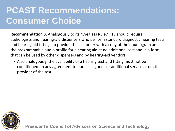## **PCAST Recommendations: Consumer Choice**

**Recommendation 3.** Analogously to its "Eyeglass Rule," FTC should require audiologists and hearing-aid dispensers who perform standard diagnostic hearing tests and hearing aid fittings to provide the customer with a copy of their audiogram and the programmable audio profile for a hearing aid at no additional cost and in a form that can be used by other dispensers and by hearing-aid vendors.

• Also analogously, the availability of a hearing test and fitting must not be conditioned on any agreement to purchase goods or additional services from the provider of the test.

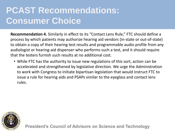## **PCAST Recommendations: Consumer Choice**

**Recommendation 4.** Similarly in effect to its "Contact Lens Rule," FTC should define a process by which patients may authorize hearing aid vendors (in-state or out-of-state) to obtain a copy of their hearing test results and programmable audio profile from any audiologist or hearing-aid dispenser who performs such a test, and it should require that the testers furnish such results at no additional cost.

• While FTC has the authority to issue new regulations of this sort, action can be accelerated and strengthened by legislative direction. We urge the Administration to work with Congress to initiate bipartisan legislation that would instruct FTC to issue a rule for hearing aids and PSAPs similar to the eyeglass and contact lens rules.